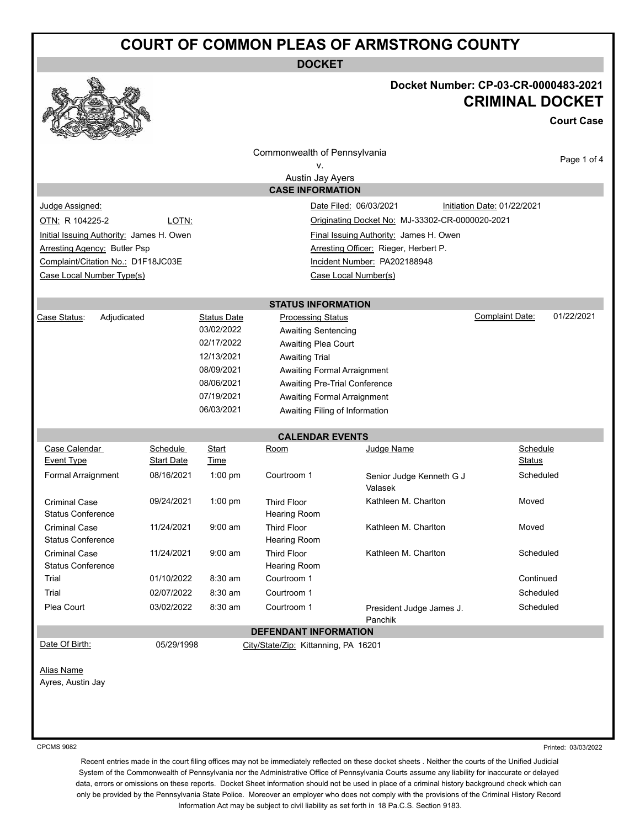## **COURT OF COMMON PLEAS OF ARMSTRONG COUNTY**

**DOCKET**



## **Docket Number: CP-03-CR-0000483-2021 CRIMINAL DOCKET**

**Court Case**

|                                                                                    |                          |                                    | Commonwealth of Pennsylvania                                         |                                     | Page 1 of 4                          |  |  |
|------------------------------------------------------------------------------------|--------------------------|------------------------------------|----------------------------------------------------------------------|-------------------------------------|--------------------------------------|--|--|
| ν.                                                                                 |                          |                                    |                                                                      |                                     |                                      |  |  |
| Austin Jay Ayers                                                                   |                          |                                    |                                                                      |                                     |                                      |  |  |
|                                                                                    |                          |                                    | <b>CASE INFORMATION</b>                                              |                                     |                                      |  |  |
| Judge Assigned:                                                                    |                          |                                    |                                                                      | Date Filed: 06/03/2021              | Initiation Date: 01/22/2021          |  |  |
| OTN: R 104225-2<br>LOTN:<br>Originating Docket No: MJ-33302-CR-0000020-2021        |                          |                                    |                                                                      |                                     |                                      |  |  |
| Initial Issuing Authority: James H. Owen<br>Final Issuing Authority: James H. Owen |                          |                                    |                                                                      |                                     |                                      |  |  |
| Arresting Officer: Rieger, Herbert P.<br><b>Arresting Agency: Butler Psp</b>       |                          |                                    |                                                                      |                                     |                                      |  |  |
| Complaint/Citation No.: D1F18JC03E                                                 |                          |                                    |                                                                      | Incident Number: PA202188948        |                                      |  |  |
| Case Local Number Type(s)                                                          |                          |                                    |                                                                      | Case Local Number(s)                |                                      |  |  |
|                                                                                    |                          |                                    |                                                                      |                                     |                                      |  |  |
|                                                                                    |                          |                                    | <b>STATUS INFORMATION</b>                                            |                                     |                                      |  |  |
| Case Status:<br>Adjudicated                                                        |                          | <b>Status Date</b>                 | <b>Processing Status</b>                                             |                                     | 01/22/2021<br><b>Complaint Date:</b> |  |  |
|                                                                                    |                          | 03/02/2022                         | <b>Awaiting Sentencing</b>                                           |                                     |                                      |  |  |
|                                                                                    |                          | 02/17/2022                         | Awaiting Plea Court                                                  |                                     |                                      |  |  |
|                                                                                    |                          | 12/13/2021                         | <b>Awaiting Trial</b>                                                |                                     |                                      |  |  |
|                                                                                    | 08/09/2021               | <b>Awaiting Formal Arraignment</b> |                                                                      |                                     |                                      |  |  |
|                                                                                    | 08/06/2021<br>07/19/2021 | Awaiting Pre-Trial Conference      |                                                                      |                                     |                                      |  |  |
|                                                                                    |                          | 06/03/2021                         | <b>Awaiting Formal Arraignment</b><br>Awaiting Filing of Information |                                     |                                      |  |  |
|                                                                                    |                          |                                    |                                                                      |                                     |                                      |  |  |
|                                                                                    |                          |                                    | <b>CALENDAR EVENTS</b>                                               |                                     |                                      |  |  |
| Case Calendar                                                                      | Schedule                 | Start                              | Room                                                                 | Judge Name                          | Schedule                             |  |  |
| <b>Event Type</b>                                                                  | <b>Start Date</b>        | Time                               |                                                                      |                                     | Status                               |  |  |
| Formal Arraignment                                                                 | 08/16/2021               | $1:00$ pm                          | Courtroom 1                                                          | Senior Judge Kenneth G J<br>Valasek | Scheduled                            |  |  |
| <b>Criminal Case</b><br><b>Status Conference</b>                                   | 09/24/2021               | $1:00$ pm                          | <b>Third Floor</b><br><b>Hearing Room</b>                            | Kathleen M. Charlton                | Moved                                |  |  |
| <b>Criminal Case</b><br><b>Status Conference</b>                                   | 11/24/2021               | $9:00$ am                          | <b>Third Floor</b><br><b>Hearing Room</b>                            | Kathleen M. Charlton                | Moved                                |  |  |
| <b>Criminal Case</b><br><b>Status Conference</b>                                   | 11/24/2021               | $9:00$ am                          | <b>Third Floor</b><br>Hearing Room                                   | Kathleen M. Charlton                | Scheduled                            |  |  |
| Trial                                                                              | 01/10/2022               | $8:30$ am                          | Courtroom 1                                                          |                                     | Continued                            |  |  |
| Trial                                                                              | 02/07/2022               | $8:30$ am                          | Courtroom 1                                                          |                                     | Scheduled                            |  |  |
| Plea Court                                                                         | 03/02/2022               | 8:30 am                            | Courtroom 1                                                          | President Judge James J.<br>Panchik | Scheduled                            |  |  |
| <b>DEFENDANT INFORMATION</b>                                                       |                          |                                    |                                                                      |                                     |                                      |  |  |
| Date Of Birth:                                                                     | 05/29/1998               |                                    | City/State/Zip: Kittanning, PA 16201                                 |                                     |                                      |  |  |
|                                                                                    |                          |                                    |                                                                      |                                     |                                      |  |  |
| Alias Name                                                                         |                          |                                    |                                                                      |                                     |                                      |  |  |
| Ayres, Austin Jay                                                                  |                          |                                    |                                                                      |                                     |                                      |  |  |
|                                                                                    |                          |                                    |                                                                      |                                     |                                      |  |  |
|                                                                                    |                          |                                    |                                                                      |                                     |                                      |  |  |
|                                                                                    |                          |                                    |                                                                      |                                     |                                      |  |  |
| <b>CPCMS 9082</b>                                                                  |                          |                                    |                                                                      |                                     | Printed: 03/03/2022                  |  |  |

Recent entries made in the court filing offices may not be immediately reflected on these docket sheets . Neither the courts of the Unified Judicial System of the Commonwealth of Pennsylvania nor the Administrative Office of Pennsylvania Courts assume any liability for inaccurate or delayed data, errors or omissions on these reports. Docket Sheet information should not be used in place of a criminal history background check which can only be provided by the Pennsylvania State Police. Moreover an employer who does not comply with the provisions of the Criminal History Record Information Act may be subject to civil liability as set forth in 18 Pa.C.S. Section 9183.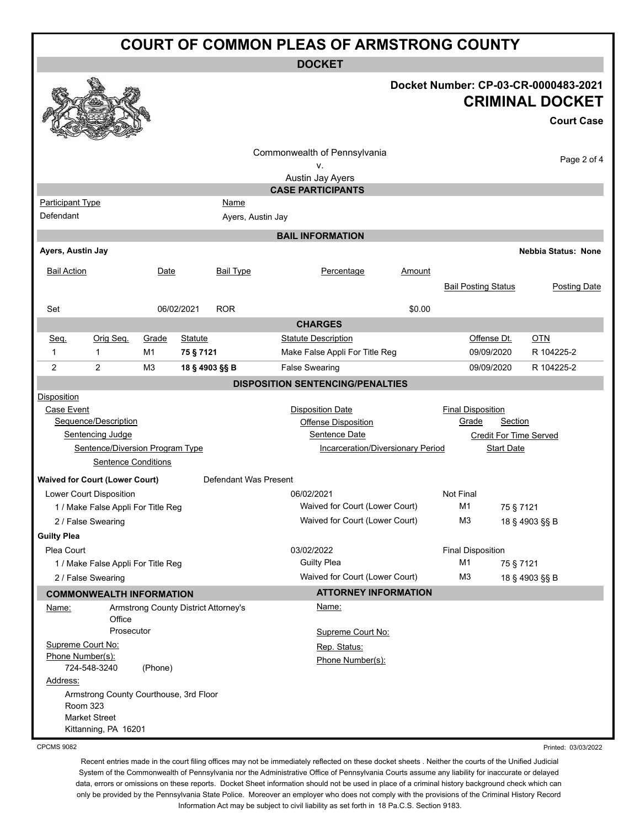| <b>COURT OF COMMON PLEAS OF ARMSTRONG COUNTY</b> |                                                            |                |                                      |                       |                                                    |        |                               |                   |                                                                                     |
|--------------------------------------------------|------------------------------------------------------------|----------------|--------------------------------------|-----------------------|----------------------------------------------------|--------|-------------------------------|-------------------|-------------------------------------------------------------------------------------|
| <b>DOCKET</b>                                    |                                                            |                |                                      |                       |                                                    |        |                               |                   |                                                                                     |
|                                                  |                                                            |                |                                      |                       |                                                    |        |                               |                   | Docket Number: CP-03-CR-0000483-2021<br><b>CRIMINAL DOCKET</b><br><b>Court Case</b> |
|                                                  |                                                            |                |                                      |                       | Commonwealth of Pennsylvania<br>۷.                 |        |                               |                   | Page 2 of 4                                                                         |
|                                                  |                                                            |                |                                      |                       | Austin Jay Ayers                                   |        |                               |                   |                                                                                     |
|                                                  |                                                            |                |                                      |                       | <b>CASE PARTICIPANTS</b>                           |        |                               |                   |                                                                                     |
| <b>Participant Type</b>                          |                                                            |                |                                      | Name                  |                                                    |        |                               |                   |                                                                                     |
| Defendant                                        |                                                            |                |                                      | Ayers, Austin Jay     |                                                    |        |                               |                   |                                                                                     |
|                                                  |                                                            |                |                                      |                       | <b>BAIL INFORMATION</b>                            |        |                               |                   |                                                                                     |
| Ayers, Austin Jay                                |                                                            |                |                                      |                       |                                                    |        |                               |                   | <b>Nebbia Status: None</b>                                                          |
| <b>Bail Action</b>                               |                                                            | Date           |                                      | <b>Bail Type</b>      | Percentage                                         | Amount | <b>Bail Posting Status</b>    |                   | <b>Posting Date</b>                                                                 |
| Set                                              |                                                            |                | 06/02/2021                           | <b>ROR</b>            |                                                    | \$0.00 |                               |                   |                                                                                     |
|                                                  |                                                            |                |                                      |                       | <b>CHARGES</b>                                     |        |                               |                   |                                                                                     |
| Seq.                                             | Orig Seq.                                                  | Grade          | <b>Statute</b>                       |                       | <b>Statute Description</b>                         |        | Offense Dt.                   |                   | <b>OTN</b>                                                                          |
| 1                                                | 1                                                          | M1             | 75 § 7121                            |                       | Make False Appli For Title Reg                     |        | 09/09/2020                    |                   | R 104225-2                                                                          |
| 2                                                | 2                                                          | M <sub>3</sub> | 18 § 4903 §§ B                       |                       | <b>False Swearing</b>                              |        | 09/09/2020                    |                   | R 104225-2                                                                          |
|                                                  |                                                            |                |                                      |                       | <b>DISPOSITION SENTENCING/PENALTIES</b>            |        |                               |                   |                                                                                     |
| Disposition                                      |                                                            |                |                                      |                       |                                                    |        |                               |                   |                                                                                     |
| Case Event                                       |                                                            |                |                                      |                       | <b>Disposition Date</b>                            |        | <b>Final Disposition</b>      |                   |                                                                                     |
|                                                  | Sequence/Description                                       |                |                                      |                       | <b>Offense Disposition</b>                         |        | Grade                         | <b>Section</b>    |                                                                                     |
|                                                  | <b>Sentencing Judge</b><br>Sentence/Diversion Program Type |                |                                      |                       | Sentence Date<br>Incarceration/Diversionary Period |        | <b>Credit For Time Served</b> | <b>Start Date</b> |                                                                                     |
|                                                  | <b>Sentence Conditions</b>                                 |                |                                      |                       |                                                    |        |                               |                   |                                                                                     |
|                                                  | <b>Waived for Court (Lower Court)</b>                      |                |                                      | Defendant Was Present |                                                    |        |                               |                   |                                                                                     |
|                                                  | Lower Court Disposition                                    |                |                                      |                       | 06/02/2021                                         |        | <b>Not Final</b>              |                   |                                                                                     |
|                                                  | 1 / Make False Appli For Title Reg                         |                |                                      |                       | Waived for Court (Lower Court)                     |        | M1                            | 75 § 7121         |                                                                                     |
|                                                  | 2 / False Swearing                                         |                |                                      |                       | Waived for Court (Lower Court)                     |        | M3                            | 18 § 4903 §§ B    |                                                                                     |
| <b>Guilty Plea</b>                               |                                                            |                |                                      |                       |                                                    |        |                               |                   |                                                                                     |
| Plea Court                                       |                                                            |                |                                      |                       | 03/02/2022                                         |        | <b>Final Disposition</b>      |                   |                                                                                     |
|                                                  | 1 / Make False Appli For Title Reg                         |                |                                      |                       | <b>Guilty Plea</b>                                 |        | M1                            | 75 § 7121         |                                                                                     |
|                                                  | 2 / False Swearing                                         |                |                                      |                       | Waived for Court (Lower Court)                     |        | M <sub>3</sub>                | 18 § 4903 §§ B    |                                                                                     |
|                                                  | <b>COMMONWEALTH INFORMATION</b>                            |                |                                      |                       | <b>ATTORNEY INFORMATION</b>                        |        |                               |                   |                                                                                     |
| Name:                                            | Office                                                     |                | Armstrong County District Attorney's |                       | Name:                                              |        |                               |                   |                                                                                     |
|                                                  | Prosecutor                                                 |                |                                      |                       | Supreme Court No:                                  |        |                               |                   |                                                                                     |
|                                                  | Supreme Court No:                                          |                |                                      |                       | Rep. Status:                                       |        |                               |                   |                                                                                     |
|                                                  | Phone Number(s):<br>724-548-3240                           | (Phone)        |                                      |                       | Phone Number(s):                                   |        |                               |                   |                                                                                     |
| Address:                                         |                                                            |                |                                      |                       |                                                    |        |                               |                   |                                                                                     |
|                                                  | Armstrong County Courthouse, 3rd Floor<br>Room 323         |                |                                      |                       |                                                    |        |                               |                   |                                                                                     |
|                                                  | <b>Market Street</b><br>Kittanning, PA 16201               |                |                                      |                       |                                                    |        |                               |                   |                                                                                     |

CPCMS 9082

Recent entries made in the court filing offices may not be immediately reflected on these docket sheets . Neither the courts of the Unified Judicial System of the Commonwealth of Pennsylvania nor the Administrative Office of Pennsylvania Courts assume any liability for inaccurate or delayed data, errors or omissions on these reports. Docket Sheet information should not be used in place of a criminal history background check which can

Printed: 03/03/2022

only be provided by the Pennsylvania State Police. Moreover an employer who does not comply with the provisions of the Criminal History Record Information Act may be subject to civil liability as set forth in 18 Pa.C.S. Section 9183.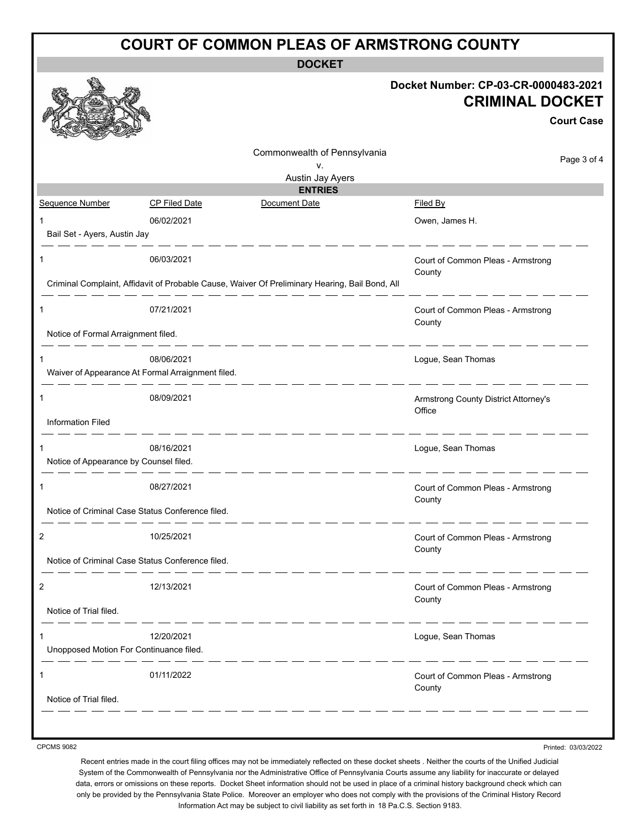| <b>COURT OF COMMON PLEAS OF ARMSTRONG COUNTY</b> |                                                                                      |                                                                                                |                                                                                     |  |  |
|--------------------------------------------------|--------------------------------------------------------------------------------------|------------------------------------------------------------------------------------------------|-------------------------------------------------------------------------------------|--|--|
| <b>DOCKET</b>                                    |                                                                                      |                                                                                                |                                                                                     |  |  |
|                                                  |                                                                                      |                                                                                                | Docket Number: CP-03-CR-0000483-2021<br><b>CRIMINAL DOCKET</b><br><b>Court Case</b> |  |  |
|                                                  |                                                                                      | Commonwealth of Pennsylvania                                                                   | Page 3 of 4                                                                         |  |  |
|                                                  |                                                                                      | v.<br>Austin Jay Ayers                                                                         |                                                                                     |  |  |
|                                                  |                                                                                      | <b>ENTRIES</b>                                                                                 |                                                                                     |  |  |
| Sequence Number                                  | <b>CP Filed Date</b>                                                                 | Document Date                                                                                  | <b>Filed By</b>                                                                     |  |  |
| 1                                                | 06/02/2021                                                                           |                                                                                                | Owen, James H.                                                                      |  |  |
| Bail Set - Ayers, Austin Jay                     |                                                                                      |                                                                                                |                                                                                     |  |  |
| 1                                                | 06/03/2021                                                                           | Criminal Complaint, Affidavit of Probable Cause, Waiver Of Preliminary Hearing, Bail Bond, All | Court of Common Pleas - Armstrong<br>County                                         |  |  |
| 1                                                | 07/21/2021                                                                           |                                                                                                | Court of Common Pleas - Armstrong<br>County                                         |  |  |
| Notice of Formal Arraignment filed.              |                                                                                      |                                                                                                |                                                                                     |  |  |
| 1                                                | - - - - - - - - -<br>08/06/2021<br>Waiver of Appearance At Formal Arraignment filed. |                                                                                                | Logue, Sean Thomas                                                                  |  |  |
| 1                                                | 08/09/2021                                                                           |                                                                                                | Armstrong County District Attorney's<br>Office                                      |  |  |
| <b>Information Filed</b>                         |                                                                                      |                                                                                                |                                                                                     |  |  |
| 1<br>Notice of Appearance by Counsel filed.      | 08/16/2021                                                                           |                                                                                                | Logue, Sean Thomas                                                                  |  |  |
|                                                  | 08/27/2021                                                                           |                                                                                                | Court of Common Pleas - Armstrong<br>County                                         |  |  |
|                                                  | Notice of Criminal Case Status Conference filed.                                     |                                                                                                |                                                                                     |  |  |
| 2                                                | 10/25/2021                                                                           |                                                                                                | Court of Common Pleas - Armstrong<br>County                                         |  |  |
|                                                  | Notice of Criminal Case Status Conference filed.                                     |                                                                                                |                                                                                     |  |  |
| 2                                                | 12/13/2021                                                                           |                                                                                                | Court of Common Pleas - Armstrong<br>County                                         |  |  |
| Notice of Trial filed.<br><u>.</u>               |                                                                                      |                                                                                                |                                                                                     |  |  |
| 1                                                | 12/20/2021                                                                           |                                                                                                | Logue, Sean Thomas                                                                  |  |  |
| Unopposed Motion For Continuance filed.          |                                                                                      |                                                                                                |                                                                                     |  |  |
|                                                  |                                                                                      |                                                                                                |                                                                                     |  |  |
| 1                                                | 01/11/2022                                                                           |                                                                                                | Court of Common Pleas - Armstrong<br>County                                         |  |  |
| Notice of Trial filed.                           |                                                                                      |                                                                                                |                                                                                     |  |  |
|                                                  |                                                                                      |                                                                                                |                                                                                     |  |  |

CPCMS 9082

Printed: 03/03/2022

Recent entries made in the court filing offices may not be immediately reflected on these docket sheets . Neither the courts of the Unified Judicial System of the Commonwealth of Pennsylvania nor the Administrative Office of Pennsylvania Courts assume any liability for inaccurate or delayed data, errors or omissions on these reports. Docket Sheet information should not be used in place of a criminal history background check which can only be provided by the Pennsylvania State Police. Moreover an employer who does not comply with the provisions of the Criminal History Record Information Act may be subject to civil liability as set forth in 18 Pa.C.S. Section 9183.